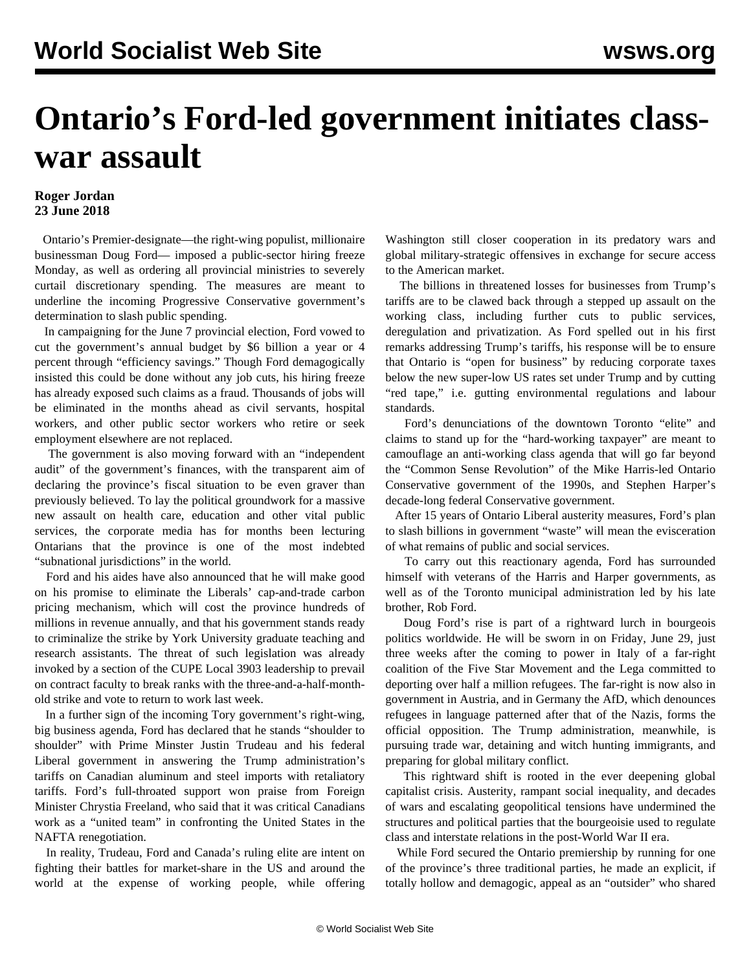## **Ontario's Ford-led government initiates classwar assault**

## **Roger Jordan 23 June 2018**

 Ontario's Premier-designate—the right-wing populist, millionaire businessman Doug Ford— imposed a public-sector hiring freeze Monday, as well as ordering all provincial ministries to severely curtail discretionary spending. The measures are meant to underline the incoming Progressive Conservative government's determination to slash public spending.

 In campaigning for the June 7 provincial election, Ford vowed to cut the government's annual budget by \$6 billion a year or 4 percent through "efficiency savings." Though Ford demagogically insisted this could be done without any job cuts, his hiring freeze has already exposed such claims as a fraud. Thousands of jobs will be eliminated in the months ahead as civil servants, hospital workers, and other public sector workers who retire or seek employment elsewhere are not replaced.

 The government is also moving forward with an "independent audit" of the government's finances, with the transparent aim of declaring the province's fiscal situation to be even graver than previously believed. To lay the political groundwork for a massive new assault on health care, education and other vital public services, the corporate media has for months been lecturing Ontarians that the province is one of the most indebted "subnational jurisdictions" in the world.

 Ford and his aides have also announced that he will make good on his promise to eliminate the Liberals' cap-and-trade carbon pricing mechanism, which will cost the province hundreds of millions in revenue annually, and that his government stands ready to criminalize the strike by York University graduate teaching and research assistants. The threat of such legislation was already invoked by a section of the CUPE Local 3903 leadership to prevail on contract faculty to break ranks with the three-and-a-half-monthold strike and vote to return to work last week.

 In a further sign of the incoming Tory government's right-wing, big business agenda, Ford has declared that he stands "shoulder to shoulder" with Prime Minster Justin Trudeau and his federal Liberal government in answering the Trump administration's tariffs on Canadian aluminum and steel imports with retaliatory tariffs. Ford's full-throated support won praise from Foreign Minister Chrystia Freeland, who said that it was critical Canadians work as a "united team" in confronting the United States in the NAFTA renegotiation.

 In reality, Trudeau, Ford and Canada's ruling elite are intent on fighting their battles for market-share in the US and around the world at the expense of working people, while offering Washington still closer cooperation in its predatory wars and global military-strategic offensives in exchange for secure access to the American market.

 The billions in threatened losses for businesses from Trump's tariffs are to be clawed back through a stepped up assault on the working class, including further cuts to public services, deregulation and privatization. As Ford spelled out in his first remarks addressing Trump's tariffs, his response will be to ensure that Ontario is "open for business" by reducing corporate taxes below the new super-low US rates set under Trump and by cutting "red tape," i.e. gutting environmental regulations and labour standards.

 Ford's denunciations of the downtown Toronto "elite" and claims to stand up for the "hard-working taxpayer" are meant to camouflage an anti-working class agenda that will go far beyond the "Common Sense Revolution" of the Mike Harris-led Ontario Conservative government of the 1990s, and Stephen Harper's decade-long federal Conservative government.

 After 15 years of Ontario Liberal austerity measures, Ford's plan to slash billions in government "waste" will mean the evisceration of what remains of public and social services.

 To carry out this reactionary agenda, Ford has surrounded himself with veterans of the Harris and Harper governments, as well as of the Toronto municipal administration led by his late brother, Rob Ford.

 Doug Ford's rise is part of a rightward lurch in bourgeois politics worldwide. He will be sworn in on Friday, June 29, just three weeks after the coming to power in Italy of a far-right coalition of the Five Star Movement and the Lega committed to deporting over half a million refugees. The far-right is now also in government in Austria, and in Germany the AfD, which denounces refugees in language patterned after that of the Nazis, forms the official opposition. The Trump administration, meanwhile, is pursuing trade war, detaining and witch hunting immigrants, and preparing for global military conflict.

 This rightward shift is rooted in the ever deepening global capitalist crisis. Austerity, rampant social inequality, and decades of wars and escalating geopolitical tensions have undermined the structures and political parties that the bourgeoisie used to regulate class and interstate relations in the post-World War II era.

 While Ford secured the Ontario premiership by running for one of the province's three traditional parties, he made an explicit, if totally hollow and demagogic, appeal as an "outsider" who shared